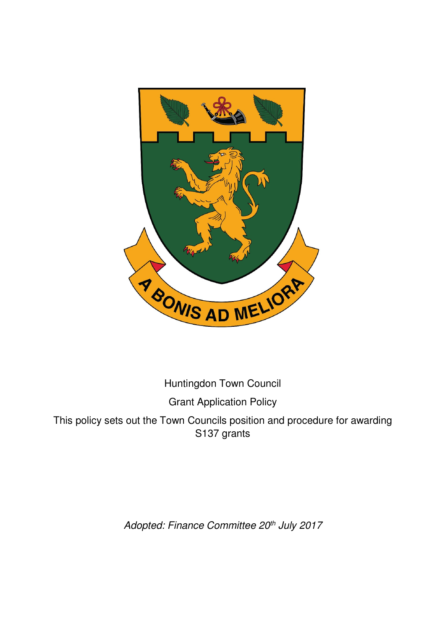

Huntingdon Town Council

Grant Application Policy

This policy sets out the Town Councils position and procedure for awarding S137 grants

Adopted: Finance Committee 20<sup>th</sup> July 2017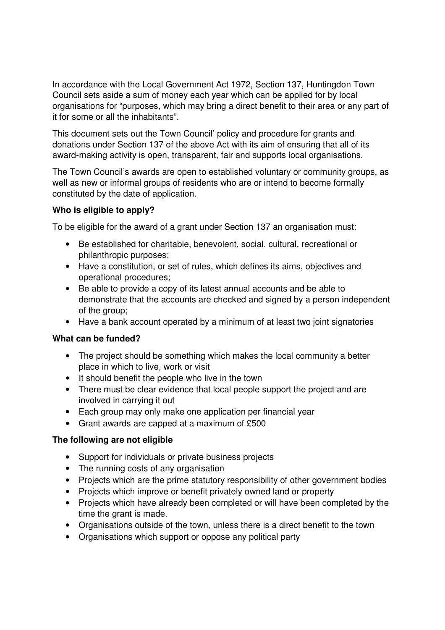In accordance with the Local Government Act 1972, Section 137, Huntingdon Town Council sets aside a sum of money each year which can be applied for by local organisations for "purposes, which may bring a direct benefit to their area or any part of it for some or all the inhabitants".

This document sets out the Town Council' policy and procedure for grants and donations under Section 137 of the above Act with its aim of ensuring that all of its award-making activity is open, transparent, fair and supports local organisations.

The Town Council's awards are open to established voluntary or community groups, as well as new or informal groups of residents who are or intend to become formally constituted by the date of application.

### **Who is eligible to apply?**

To be eligible for the award of a grant under Section 137 an organisation must:

- Be established for charitable, benevolent, social, cultural, recreational or philanthropic purposes;
- Have a constitution, or set of rules, which defines its aims, objectives and operational procedures;
- Be able to provide a copy of its latest annual accounts and be able to demonstrate that the accounts are checked and signed by a person independent of the group;
- Have a bank account operated by a minimum of at least two joint signatories

#### **What can be funded?**

- The project should be something which makes the local community a better place in which to live, work or visit
- It should benefit the people who live in the town
- There must be clear evidence that local people support the project and are involved in carrying it out
- Each group may only make one application per financial year
- Grant awards are capped at a maximum of £500

# **The following are not eligible**

- Support for individuals or private business projects
- The running costs of any organisation
- Projects which are the prime statutory responsibility of other government bodies
- Projects which improve or benefit privately owned land or property
- Projects which have already been completed or will have been completed by the time the grant is made.
- Organisations outside of the town, unless there is a direct benefit to the town
- Organisations which support or oppose any political party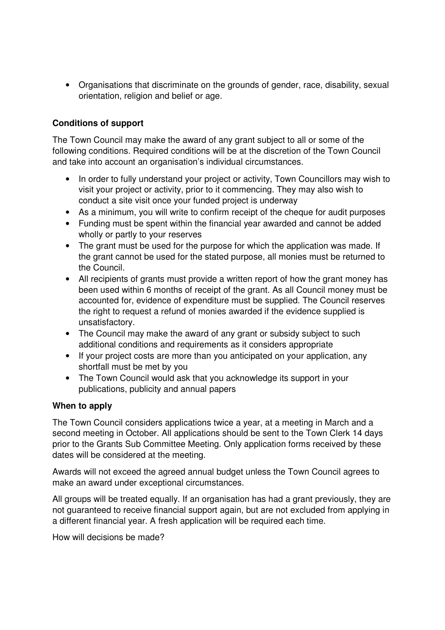• Organisations that discriminate on the grounds of gender, race, disability, sexual orientation, religion and belief or age.

# **Conditions of support**

The Town Council may make the award of any grant subject to all or some of the following conditions. Required conditions will be at the discretion of the Town Council and take into account an organisation's individual circumstances.

- In order to fully understand your project or activity, Town Councillors may wish to visit your project or activity, prior to it commencing. They may also wish to conduct a site visit once your funded project is underway
- As a minimum, you will write to confirm receipt of the cheque for audit purposes
- Funding must be spent within the financial year awarded and cannot be added wholly or partly to your reserves
- The grant must be used for the purpose for which the application was made. If the grant cannot be used for the stated purpose, all monies must be returned to the Council.
- All recipients of grants must provide a written report of how the grant money has been used within 6 months of receipt of the grant. As all Council money must be accounted for, evidence of expenditure must be supplied. The Council reserves the right to request a refund of monies awarded if the evidence supplied is unsatisfactory.
- The Council may make the award of any grant or subsidy subject to such additional conditions and requirements as it considers appropriate
- If your project costs are more than you anticipated on your application, any shortfall must be met by you
- The Town Council would ask that you acknowledge its support in your publications, publicity and annual papers

#### **When to apply**

The Town Council considers applications twice a year, at a meeting in March and a second meeting in October. All applications should be sent to the Town Clerk 14 days prior to the Grants Sub Committee Meeting. Only application forms received by these dates will be considered at the meeting.

Awards will not exceed the agreed annual budget unless the Town Council agrees to make an award under exceptional circumstances.

All groups will be treated equally. If an organisation has had a grant previously, they are not guaranteed to receive financial support again, but are not excluded from applying in a different financial year. A fresh application will be required each time.

How will decisions be made?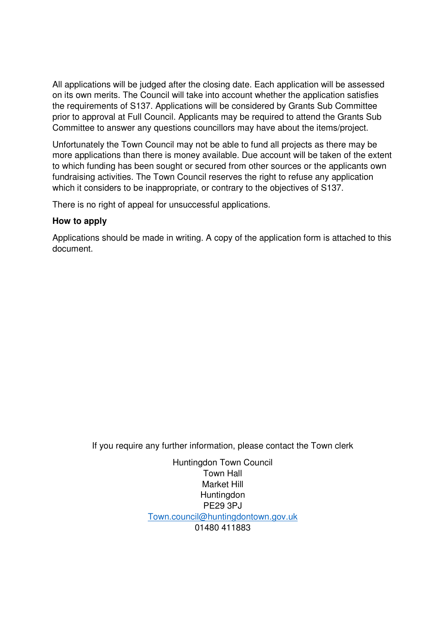All applications will be judged after the closing date. Each application will be assessed on its own merits. The Council will take into account whether the application satisfies the requirements of S137. Applications will be considered by Grants Sub Committee prior to approval at Full Council. Applicants may be required to attend the Grants Sub Committee to answer any questions councillors may have about the items/project.

Unfortunately the Town Council may not be able to fund all projects as there may be more applications than there is money available. Due account will be taken of the extent to which funding has been sought or secured from other sources or the applicants own fundraising activities. The Town Council reserves the right to refuse any application which it considers to be inappropriate, or contrary to the objectives of S137.

There is no right of appeal for unsuccessful applications.

#### **How to apply**

Applications should be made in writing. A copy of the application form is attached to this document.

If you require any further information, please contact the Town clerk

Huntingdon Town Council Town Hall Market Hill **Huntingdon** PE29 3PJ Town.council@huntingdontown.gov.uk 01480 411883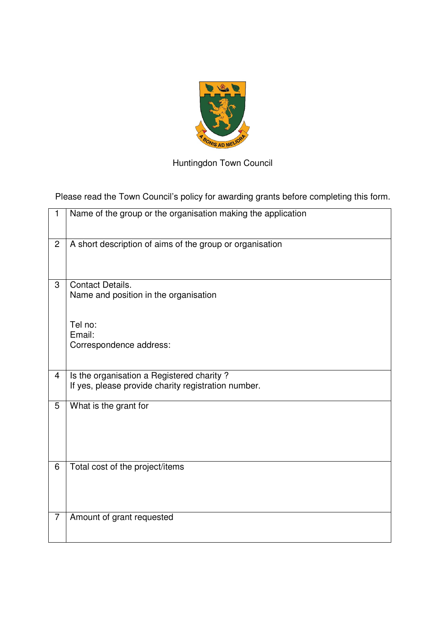

Huntingdon Town Council

Please read the Town Council's policy for awarding grants before completing this form.

| 1              | Name of the group or the organisation making the application                                     |
|----------------|--------------------------------------------------------------------------------------------------|
| $\overline{2}$ | A short description of aims of the group or organisation                                         |
| 3              | <b>Contact Details.</b><br>Name and position in the organisation                                 |
|                | Tel no:<br>Email:<br>Correspondence address:                                                     |
| $\overline{4}$ | Is the organisation a Registered charity?<br>If yes, please provide charity registration number. |
| 5              | What is the grant for                                                                            |
| 6              | Total cost of the project/items                                                                  |
| 7              | Amount of grant requested                                                                        |